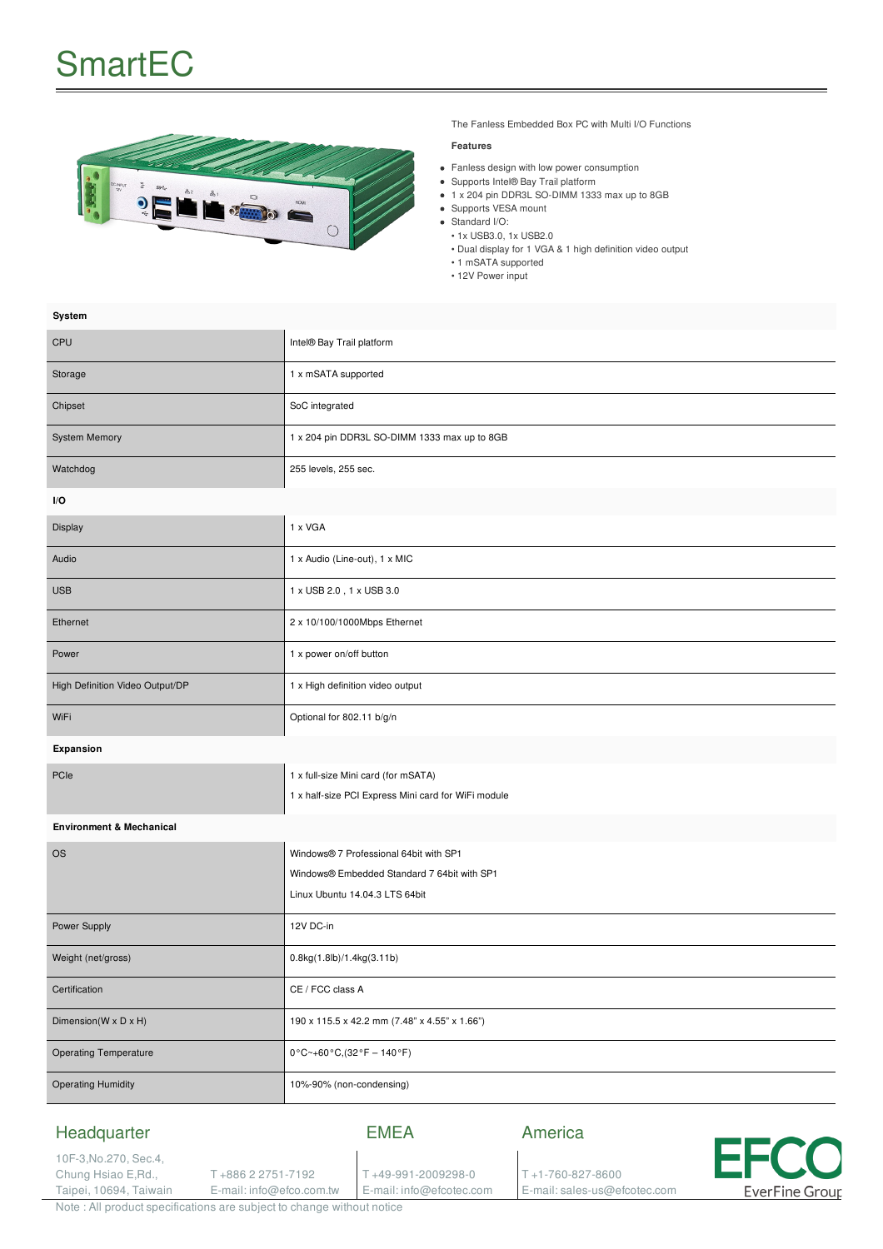# **SmartEC**



The Fanless Embedded Box PC with Multi I/O Functions

#### **Features**

- Fanless design with low power consumption
- Supports Intel® Bay Trail platform
- 1 x 204 pin DDR3L SO-DIMM 1333 max up to 8GB
- Supports VESA mount
- Standard I/O:
- 1x USB3.0, 1x USB2.0
- Dual display for 1 VGA & 1 high definition video output
- 1 mSATA supported
- 12V Power input

| Intel® Bay Trail platform                                                                                               |  |
|-------------------------------------------------------------------------------------------------------------------------|--|
| 1 x mSATA supported                                                                                                     |  |
| SoC integrated                                                                                                          |  |
| 1 x 204 pin DDR3L SO-DIMM 1333 max up to 8GB                                                                            |  |
| 255 levels, 255 sec.                                                                                                    |  |
| I/O                                                                                                                     |  |
| 1 x VGA                                                                                                                 |  |
| 1 x Audio (Line-out), 1 x MIC                                                                                           |  |
| 1 x USB 2.0, 1 x USB 3.0                                                                                                |  |
| 2 x 10/100/1000Mbps Ethernet                                                                                            |  |
| 1 x power on/off button                                                                                                 |  |
| 1 x High definition video output                                                                                        |  |
| Optional for 802.11 b/g/n                                                                                               |  |
| Expansion                                                                                                               |  |
| 1 x full-size Mini card (for mSATA)<br>1 x half-size PCI Express Mini card for WiFi module                              |  |
| <b>Environment &amp; Mechanical</b>                                                                                     |  |
| Windows® 7 Professional 64bit with SP1<br>Windows® Embedded Standard 7 64bit with SP1<br>Linux Ubuntu 14.04.3 LTS 64bit |  |
| 12V DC-in                                                                                                               |  |
| 0.8kg(1.8lb)/1.4kg(3.11b)                                                                                               |  |
| CE / FCC class A                                                                                                        |  |
| 190 x 115.5 x 42.2 mm (7.48" x 4.55" x 1.66")                                                                           |  |
| $0^{\circ}$ C~+60 $^{\circ}$ C, (32 $^{\circ}$ F - 140 $^{\circ}$ F)                                                    |  |
| 10%-90% (non-condensing)                                                                                                |  |
|                                                                                                                         |  |

# Headquarter

### EMEA

T +49-991-2009298-0 E-mail: info@efcotec.com

10F-3,No.270, Sec.4, Chung Hsiao E,Rd., Taipei, 10694, Taiwain

T +886 2 2751-7192 E-mail: info@efco.com.tw America

T +1-760-827-8600 E-mail: sales-us@efcotec.com



Note : All product specifications are subject to change without notice

### **System**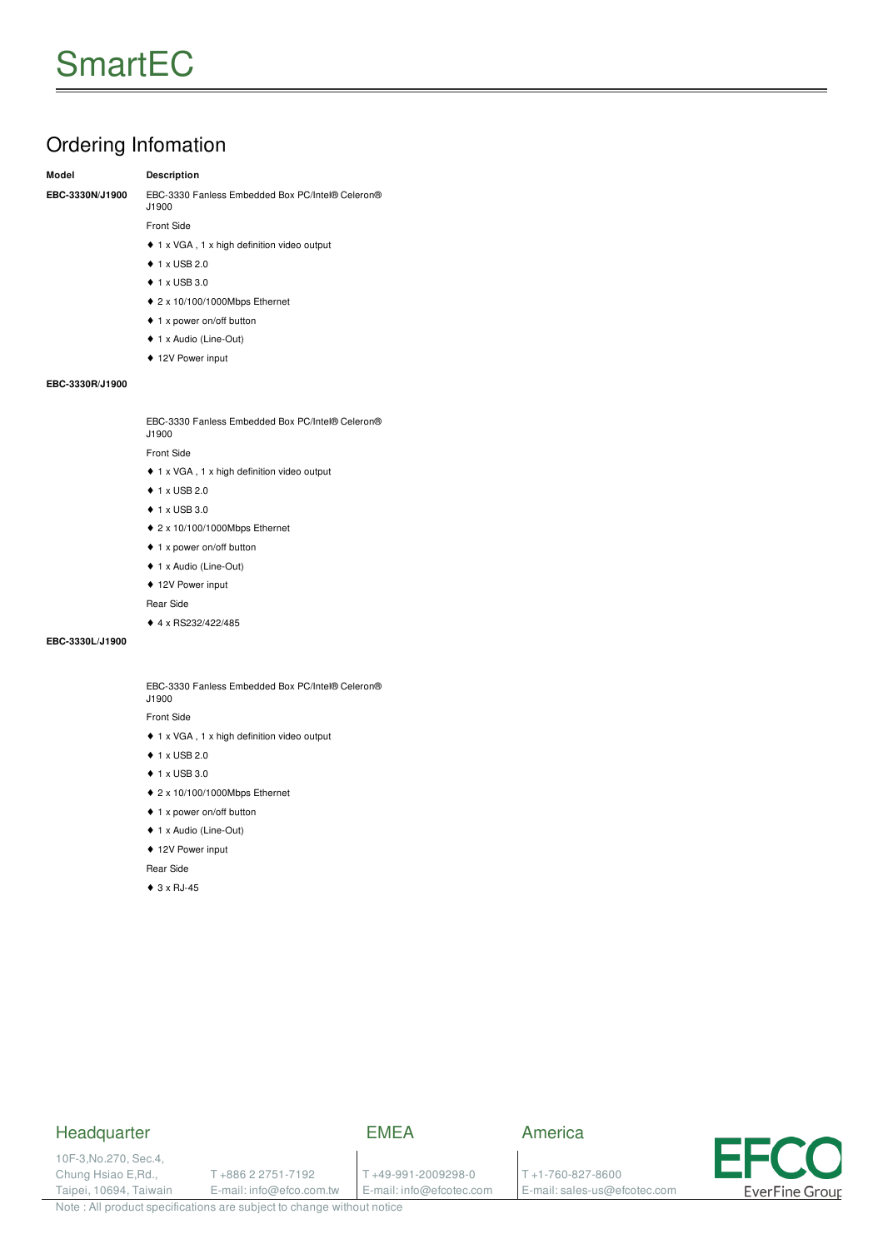# Ordering Infomation

#### **Model Description**

**EBC-3330N/J1900** EBC-3330 Fanless Embedded Box PC/Intel® Celeron® J1900

Front Side

- ♦ 1 x VGA , 1 x high definition video output
- ♦ 1 x USB 2.0
- ♦ 1 x USB 3.0
- ♦ 2 x 10/100/1000Mbps Ethernet
- ♦ 1 x power on/off button
- ♦ 1 x Audio (Line-Out)
- ♦ 12V Power input

#### **EBC-3330R/J1900**

EBC-3330 Fanless Embedded Box PC/Intel® Celeron® J1900

Front Side

- ♦ 1 x VGA , 1 x high definition video output
- ♦ 1 x USB 2.0
- ♦ 1 x USB 3.0
- ♦ 2 x 10/100/1000Mbps Ethernet
- ♦ 1 x power on/off button
- ♦ 1 x Audio (Line-Out)
- ♦ 12V Power input

Rear Side

♦ 4 x RS232/422/485

#### **EBC-3330L/J1900**

EBC-3330 Fanless Embedded Box PC/Intel® Celeron® J1900

Front Side

- ♦ 1 x VGA , 1 x high definition video output
- ♦ 1 x USB 2.0
- ♦ 1 x USB 3.0
- ♦ 2 x 10/100/1000Mbps Ethernet
- ♦ 1 x power on/off button
- ♦ 1 x Audio (Line-Out)
- ♦ 12V Power input

Rear Side

 $\triangle$  3 x RJ-45

# **Headquarter**

10F-3,No.270, Sec.4, Chung Hsiao E,Rd., Taipei, 10694, Taiwain

# EMEA

T +886 2 2751-7192 E-mail: info@efco.com.tw

T +49-991-2009298-0 E-mail: info@efcotec.com

T +1-760-827-8600 E-mail: sales-us@efcotec.com

America



Note : All product specifications are subject to change without notice